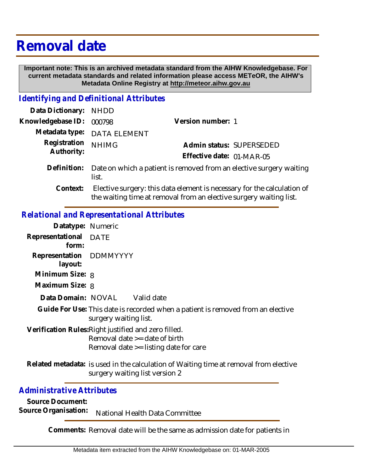# **Removal date**

 **Important note: This is an archived metadata standard from the AIHW Knowledgebase. For current metadata standards and related information please access METeOR, the AIHW's Metadata Online Registry at http://meteor.aihw.gov.au**

#### *Identifying and Definitional Attributes*

| Data Dictionary: NHDD      |                                                                                                                                               |                           |                          |
|----------------------------|-----------------------------------------------------------------------------------------------------------------------------------------------|---------------------------|--------------------------|
| Knowledgebase ID:          | 000798                                                                                                                                        | Version number: 1         |                          |
|                            | Metadata type: DATA ELEMENT                                                                                                                   |                           |                          |
| Registration<br>Authority: | <b>NHIMG</b>                                                                                                                                  |                           | Admin status: SUPERSEDED |
|                            |                                                                                                                                               | Effective date: 01-MAR-05 |                          |
| Definition:                | Date on which a patient is removed from an elective surgery waiting<br>list.                                                                  |                           |                          |
| Context:                   | Elective surgery: this data element is necessary for the calculation of<br>the waiting time at removal from an elective surgery waiting list. |                           |                          |
|                            |                                                                                                                                               |                           |                          |

### *Relational and Representational Attributes*

|                  |         | Datatype: Numeric             |                                                                                                                                  |  |
|------------------|---------|-------------------------------|----------------------------------------------------------------------------------------------------------------------------------|--|
| Representational | form:   | DATE                          |                                                                                                                                  |  |
|                  | layout: | Representation DDMMYYYY       |                                                                                                                                  |  |
| Minimum Size: 8  |         |                               |                                                                                                                                  |  |
| Maximum Size: 8  |         |                               |                                                                                                                                  |  |
|                  |         | Data Domain: NOVAL Valid date |                                                                                                                                  |  |
|                  |         | surgery waiting list.         | Guide For Use: This date is recorded when a patient is removed from an elective                                                  |  |
|                  |         |                               | Verification Rules: Right justified and zero filled.<br>Removal date $>=$ date of birth<br>Removal date >= listing date for care |  |
|                  |         |                               | Related metadata: is used in the calculation of Waiting time at removal from elective<br>surgery waiting list version 2          |  |

### *Administrative Attributes*

**Source Document:**

Source Organisation: National Health Data Committee

**Comments:** Removal date will be the same as admission date for patients in